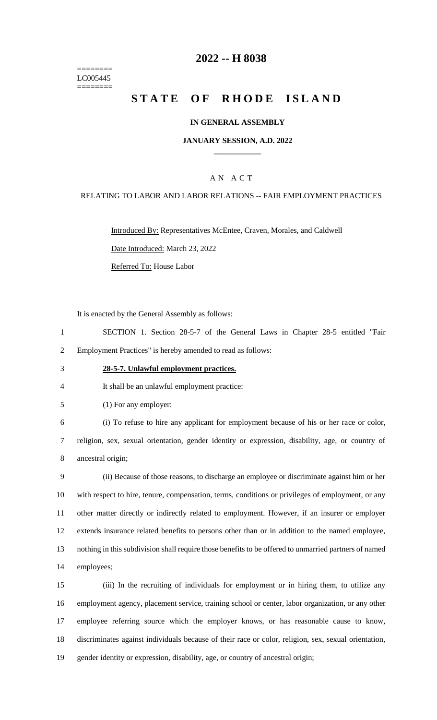======== LC005445 ========

## **-- H 8038**

# **STATE OF RHODE ISLAND**

#### **IN GENERAL ASSEMBLY**

#### **JANUARY SESSION, A.D. 2022 \_\_\_\_\_\_\_\_\_\_\_\_**

### A N A C T

#### RELATING TO LABOR AND LABOR RELATIONS -- FAIR EMPLOYMENT PRACTICES

Introduced By: Representatives McEntee, Craven, Morales, and Caldwell Date Introduced: March 23, 2022 Referred To: House Labor

It is enacted by the General Assembly as follows:

 SECTION 1. Section 28-5-7 of the General Laws in Chapter 28-5 entitled "Fair Employment Practices" is hereby amended to read as follows:

**28-5-7. Unlawful employment practices.**

It shall be an unlawful employment practice:

(1) For any employer:

 (i) To refuse to hire any applicant for employment because of his or her race or color, religion, sex, sexual orientation, gender identity or expression, disability, age, or country of ancestral origin;

 (ii) Because of those reasons, to discharge an employee or discriminate against him or her with respect to hire, tenure, compensation, terms, conditions or privileges of employment, or any other matter directly or indirectly related to employment. However, if an insurer or employer extends insurance related benefits to persons other than or in addition to the named employee, nothing in this subdivision shall require those benefits to be offered to unmarried partners of named employees;

 (iii) In the recruiting of individuals for employment or in hiring them, to utilize any employment agency, placement service, training school or center, labor organization, or any other employee referring source which the employer knows, or has reasonable cause to know, discriminates against individuals because of their race or color, religion, sex, sexual orientation, gender identity or expression, disability, age, or country of ancestral origin;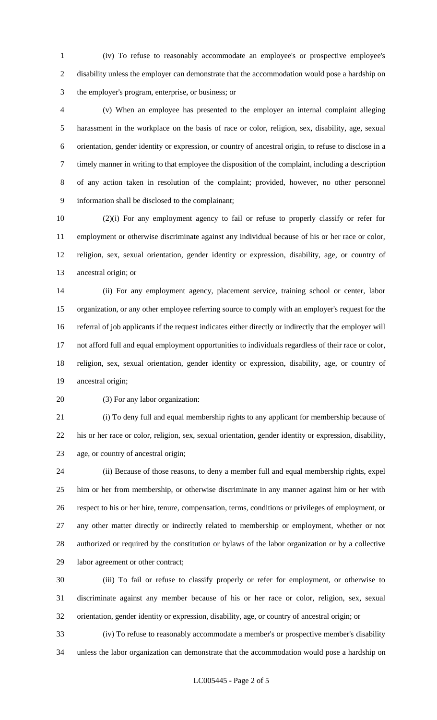(iv) To refuse to reasonably accommodate an employee's or prospective employee's disability unless the employer can demonstrate that the accommodation would pose a hardship on the employer's program, enterprise, or business; or

 (v) When an employee has presented to the employer an internal complaint alleging harassment in the workplace on the basis of race or color, religion, sex, disability, age, sexual orientation, gender identity or expression, or country of ancestral origin, to refuse to disclose in a timely manner in writing to that employee the disposition of the complaint, including a description of any action taken in resolution of the complaint; provided, however, no other personnel information shall be disclosed to the complainant;

 (2)(i) For any employment agency to fail or refuse to properly classify or refer for employment or otherwise discriminate against any individual because of his or her race or color, religion, sex, sexual orientation, gender identity or expression, disability, age, or country of ancestral origin; or

 (ii) For any employment agency, placement service, training school or center, labor organization, or any other employee referring source to comply with an employer's request for the referral of job applicants if the request indicates either directly or indirectly that the employer will not afford full and equal employment opportunities to individuals regardless of their race or color, religion, sex, sexual orientation, gender identity or expression, disability, age, or country of ancestral origin;

(3) For any labor organization:

 (i) To deny full and equal membership rights to any applicant for membership because of his or her race or color, religion, sex, sexual orientation, gender identity or expression, disability, age, or country of ancestral origin;

 (ii) Because of those reasons, to deny a member full and equal membership rights, expel him or her from membership, or otherwise discriminate in any manner against him or her with respect to his or her hire, tenure, compensation, terms, conditions or privileges of employment, or any other matter directly or indirectly related to membership or employment, whether or not authorized or required by the constitution or bylaws of the labor organization or by a collective labor agreement or other contract;

 (iii) To fail or refuse to classify properly or refer for employment, or otherwise to discriminate against any member because of his or her race or color, religion, sex, sexual orientation, gender identity or expression, disability, age, or country of ancestral origin; or

 (iv) To refuse to reasonably accommodate a member's or prospective member's disability unless the labor organization can demonstrate that the accommodation would pose a hardship on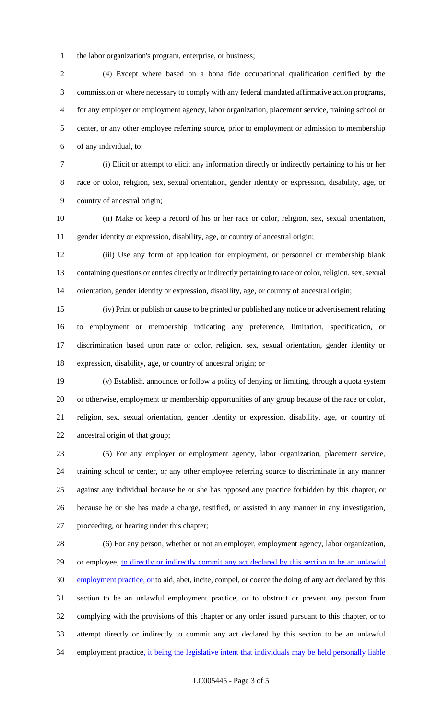the labor organization's program, enterprise, or business;

 (4) Except where based on a bona fide occupational qualification certified by the commission or where necessary to comply with any federal mandated affirmative action programs, for any employer or employment agency, labor organization, placement service, training school or center, or any other employee referring source, prior to employment or admission to membership of any individual, to:

 (i) Elicit or attempt to elicit any information directly or indirectly pertaining to his or her race or color, religion, sex, sexual orientation, gender identity or expression, disability, age, or country of ancestral origin;

 (ii) Make or keep a record of his or her race or color, religion, sex, sexual orientation, gender identity or expression, disability, age, or country of ancestral origin;

 (iii) Use any form of application for employment, or personnel or membership blank containing questions or entries directly or indirectly pertaining to race or color, religion, sex, sexual orientation, gender identity or expression, disability, age, or country of ancestral origin;

 (iv) Print or publish or cause to be printed or published any notice or advertisement relating to employment or membership indicating any preference, limitation, specification, or discrimination based upon race or color, religion, sex, sexual orientation, gender identity or expression, disability, age, or country of ancestral origin; or

 (v) Establish, announce, or follow a policy of denying or limiting, through a quota system or otherwise, employment or membership opportunities of any group because of the race or color, religion, sex, sexual orientation, gender identity or expression, disability, age, or country of ancestral origin of that group;

 (5) For any employer or employment agency, labor organization, placement service, training school or center, or any other employee referring source to discriminate in any manner against any individual because he or she has opposed any practice forbidden by this chapter, or because he or she has made a charge, testified, or assisted in any manner in any investigation, proceeding, or hearing under this chapter;

 (6) For any person, whether or not an employer, employment agency, labor organization, 29 or employee, to directly or indirectly commit any act declared by this section to be an unlawful 30 employment practice, or to aid, abet, incite, compel, or coerce the doing of any act declared by this section to be an unlawful employment practice, or to obstruct or prevent any person from complying with the provisions of this chapter or any order issued pursuant to this chapter, or to attempt directly or indirectly to commit any act declared by this section to be an unlawful 34 employment practice, it being the legislative intent that individuals may be held personally liable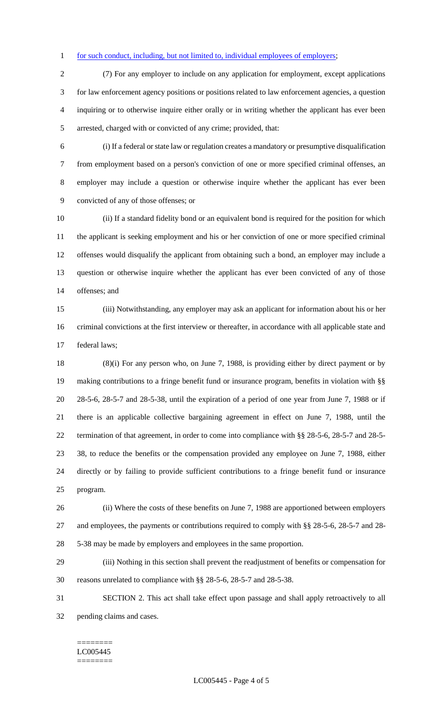#### for such conduct, including, but not limited to, individual employees of employers;

 (7) For any employer to include on any application for employment, except applications for law enforcement agency positions or positions related to law enforcement agencies, a question inquiring or to otherwise inquire either orally or in writing whether the applicant has ever been arrested, charged with or convicted of any crime; provided, that:

 (i) If a federal or state law or regulation creates a mandatory or presumptive disqualification from employment based on a person's conviction of one or more specified criminal offenses, an employer may include a question or otherwise inquire whether the applicant has ever been convicted of any of those offenses; or

 (ii) If a standard fidelity bond or an equivalent bond is required for the position for which the applicant is seeking employment and his or her conviction of one or more specified criminal offenses would disqualify the applicant from obtaining such a bond, an employer may include a question or otherwise inquire whether the applicant has ever been convicted of any of those offenses; and

 (iii) Notwithstanding, any employer may ask an applicant for information about his or her criminal convictions at the first interview or thereafter, in accordance with all applicable state and federal laws;

 (8)(i) For any person who, on June 7, 1988, is providing either by direct payment or by making contributions to a fringe benefit fund or insurance program, benefits in violation with §§ 28-5-6, 28-5-7 and 28-5-38, until the expiration of a period of one year from June 7, 1988 or if there is an applicable collective bargaining agreement in effect on June 7, 1988, until the termination of that agreement, in order to come into compliance with §§ 28-5-6, 28-5-7 and 28-5- 38, to reduce the benefits or the compensation provided any employee on June 7, 1988, either directly or by failing to provide sufficient contributions to a fringe benefit fund or insurance program.

 (ii) Where the costs of these benefits on June 7, 1988 are apportioned between employers and employees, the payments or contributions required to comply with §§ 28-5-6, 28-5-7 and 28- 5-38 may be made by employers and employees in the same proportion.

 (iii) Nothing in this section shall prevent the readjustment of benefits or compensation for reasons unrelated to compliance with §§ 28-5-6, 28-5-7 and 28-5-38.

 SECTION 2. This act shall take effect upon passage and shall apply retroactively to all pending claims and cases.

#### ======== LC005445 ========